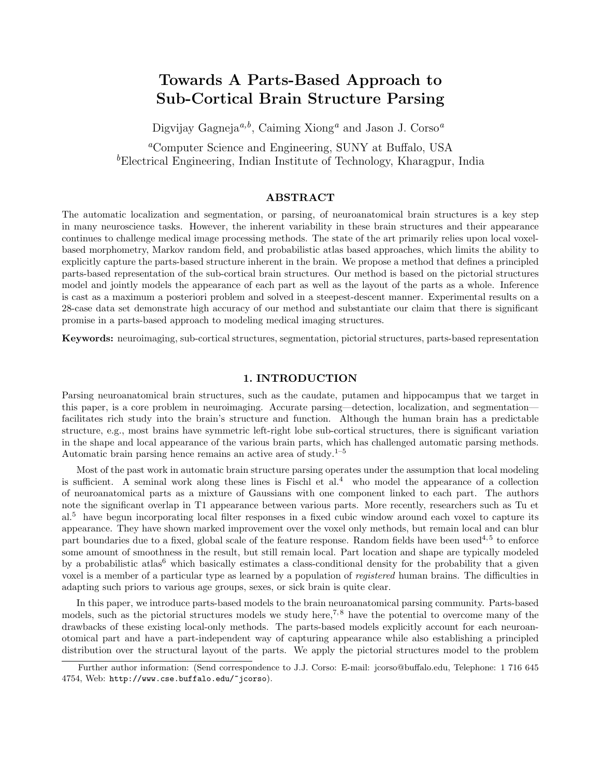# Towards A Parts-Based Approach to Sub-Cortical Brain Structure Parsing

Digvijay Gagneja<sup> $a,b$ </sup>, Caiming Xiong<sup>a</sup> and Jason J. Corso<sup> $a$ </sup>

<sup>a</sup>Computer Science and Engineering, SUNY at Buffalo, USA  ${}^b$ Electrical Engineering, Indian Institute of Technology, Kharagpur, India

## ABSTRACT

The automatic localization and segmentation, or parsing, of neuroanatomical brain structures is a key step in many neuroscience tasks. However, the inherent variability in these brain structures and their appearance continues to challenge medical image processing methods. The state of the art primarily relies upon local voxelbased morphometry, Markov random field, and probabilistic atlas based approaches, which limits the ability to explicitly capture the parts-based structure inherent in the brain. We propose a method that defines a principled parts-based representation of the sub-cortical brain structures. Our method is based on the pictorial structures model and jointly models the appearance of each part as well as the layout of the parts as a whole. Inference is cast as a maximum a posteriori problem and solved in a steepest-descent manner. Experimental results on a 28-case data set demonstrate high accuracy of our method and substantiate our claim that there is significant promise in a parts-based approach to modeling medical imaging structures.

Keywords: neuroimaging, sub-cortical structures, segmentation, pictorial structures, parts-based representation

## 1. INTRODUCTION

Parsing neuroanatomical brain structures, such as the caudate, putamen and hippocampus that we target in this paper, is a core problem in neuroimaging. Accurate parsing—detection, localization, and segmentation facilitates rich study into the brain's structure and function. Although the human brain has a predictable structure, e.g., most brains have symmetric left-right lobe sub-cortical structures, there is significant variation in the shape and local appearance of the various brain parts, which has challenged automatic parsing methods. Automatic brain parsing hence remains an active area of study.<sup>1–5</sup>

Most of the past work in automatic brain structure parsing operates under the assumption that local modeling is sufficient. A seminal work along these lines is Fischl et  $al<sup>4</sup>$  who model the appearance of a collection of neuroanatomical parts as a mixture of Gaussians with one component linked to each part. The authors note the significant overlap in T1 appearance between various parts. More recently, researchers such as Tu et al.<sup>5</sup> have begun incorporating local filter responses in a fixed cubic window around each voxel to capture its appearance. They have shown marked improvement over the voxel only methods, but remain local and can blur part boundaries due to a fixed, global scale of the feature response. Random fields have been used<sup>4,5</sup> to enforce some amount of smoothness in the result, but still remain local. Part location and shape are typically modeled by a probabilistic atlas<sup>6</sup> which basically estimates a class-conditional density for the probability that a given voxel is a member of a particular type as learned by a population of *registered* human brains. The difficulties in adapting such priors to various age groups, sexes, or sick brain is quite clear.

In this paper, we introduce parts-based models to the brain neuroanatomical parsing community. Parts-based models, such as the pictorial structures models we study here,<sup>7,8</sup> have the potential to overcome many of the drawbacks of these existing local-only methods. The parts-based models explicitly account for each neuroanotomical part and have a part-independent way of capturing appearance while also establishing a principled distribution over the structural layout of the parts. We apply the pictorial structures model to the problem

Further author information: (Send correspondence to J.J. Corso: E-mail: jcorso@buffalo.edu, Telephone: 1 716 645 4754, Web: http://www.cse.buffalo.edu/~jcorso).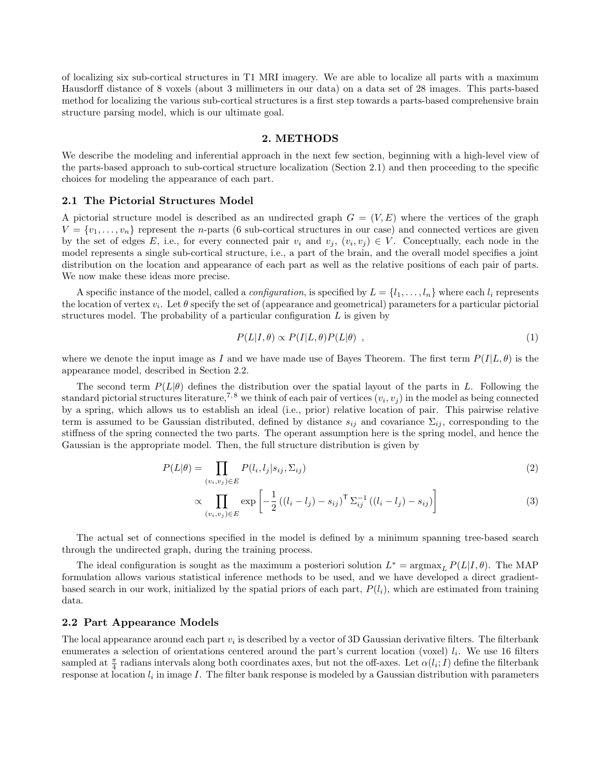of localizing six sub-cortical structures in T1 MRI imagery. We are able to localize all parts with a maximum Hausdorff distance of 8 voxels (about 3 millimeters in our data) on a data set of 28 images. This parts-based method for localizing the various sub-cortical structures is a first step towards a parts-based comprehensive brain structure parsing model, which is our ultimate goal.

#### 2. METHODS

We describe the modeling and inferential approach in the next few section, beginning with a high-level view of the parts-based approach to sub-cortical structure localization (Section 2.1) and then proceeding to the specific choices for modeling the appearance of each part.

#### 2.1 The Pictorial Structures Model

A pictorial structure model is described as an undirected graph  $G = (V, E)$  where the vertices of the graph  $V = \{v_1, \ldots, v_n\}$  represent the *n*-parts (6 sub-cortical structures in our case) and connected vertices are given by the set of edges E, i.e., for every connected pair  $v_i$  and  $v_j$ ,  $(v_i, v_j) \in V$ . Conceptually, each node in the model represents a single sub-cortical structure, i.e., a part of the brain, and the overall model specifies a joint distribution on the location and appearance of each part as well as the relative positions of each pair of parts. We now make these ideas more precise.

A specific instance of the model, called a *configuration*, is specified by  $L = \{l_1, \ldots, l_n\}$  where each  $l_i$  represents the location of vertex  $v_i$ . Let  $\theta$  specify the set of (appearance and geometrical) parameters for a particular pictorial structures model. The probability of a particular configuration  $L$  is given by

$$
P(L|I,\theta) \propto P(I|L,\theta)P(L|\theta) \quad , \tag{1}
$$

where we denote the input image as I and we have made use of Bayes Theorem. The first term  $P(I|L, \theta)$  is the appearance model, described in Section 2.2.

The second term  $P(L|\theta)$  defines the distribution over the spatial layout of the parts in L. Following the standard pictorial structures literature,<sup>7,8</sup> we think of each pair of vertices  $(v_i, v_j)$  in the model as being connected by a spring, which allows us to establish an ideal (i.e., prior) relative location of pair. This pairwise relative term is assumed to be Gaussian distributed, defined by distance  $s_{ij}$  and covariance  $\Sigma_{ij}$ , corresponding to the stiffness of the spring connected the two parts. The operant assumption here is the spring model, and hence the Gaussian is the appropriate model. Then, the full structure distribution is given by

$$
P(L|\theta) = \prod_{(v_i, v_j) \in E} P(l_i, l_j | s_{ij}, \Sigma_{ij})
$$
\n<sup>(2)</sup>

$$
\propto \prod_{(v_i, v_j) \in E} \exp\left[ -\frac{1}{2} \left( (l_i - l_j) - s_{ij} \right)^{\mathsf{T}} \Sigma_{ij}^{-1} \left( (l_i - l_j) - s_{ij} \right) \right] \tag{3}
$$

The actual set of connections specified in the model is defined by a minimum spanning tree-based search through the undirected graph, during the training process.

The ideal configuration is sought as the maximum a posteriori solution  $L^* = \argmax_L P(L|I, \theta)$ . The MAP formulation allows various statistical inference methods to be used, and we have developed a direct gradientbased search in our work, initialized by the spatial priors of each part,  $P(l_i)$ , which are estimated from training data.

## 2.2 Part Appearance Models

The local appearance around each part  $v_i$  is described by a vector of 3D Gaussian derivative filters. The filterbank enumerates a selection of orientations centered around the part's current location (voxel)  $l_i$ . We use 16 filters sampled at  $\frac{\pi}{4}$  radians intervals along both coordinates axes, but not the off-axes. Let  $\alpha(l_i; I)$  define the filterbank response at location  $l_i$  in image  $I$ . The filter bank response is modeled by a Gaussian distribution with parameters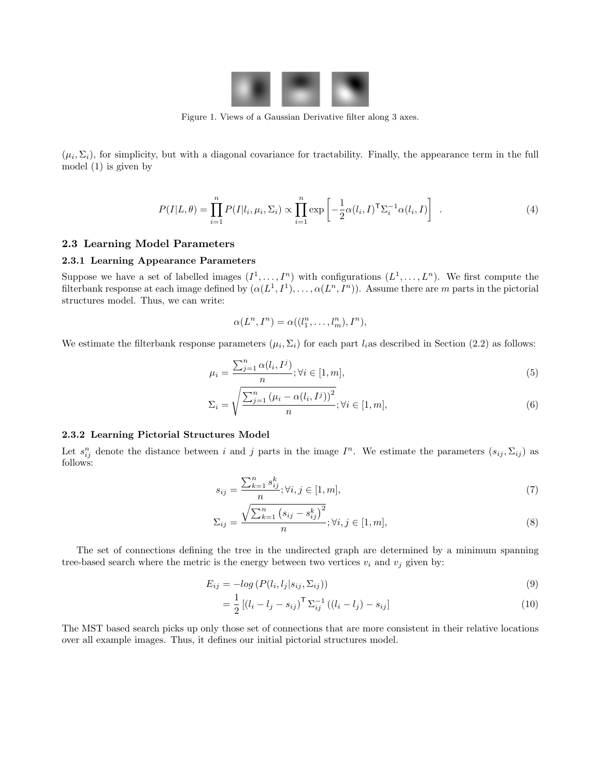

Figure 1. Views of a Gaussian Derivative filter along 3 axes.

 $(\mu_i, \Sigma_i)$ , for simplicity, but with a diagonal covariance for tractability. Finally, the appearance term in the full model (1) is given by

$$
P(I|L,\theta) = \prod_{i=1}^{n} P(I|l_i, \mu_i, \Sigma_i) \propto \prod_{i=1}^{n} \exp\left[-\frac{1}{2}\alpha(l_i, I)^{\mathsf{T}}\Sigma_i^{-1}\alpha(l_i, I)\right]
$$
 (4)

# 2.3 Learning Model Parameters

## 2.3.1 Learning Appearance Parameters

Suppose we have a set of labelled images  $(I^1, \ldots, I^n)$  with configurations  $(L^1, \ldots, L^n)$ . We first compute the filterbank response at each image defined by  $(\alpha(L^1, I^1), \ldots, \alpha(L^n, I^n))$ . Assume there are m parts in the pictorial structures model. Thus, we can write:

$$
\alpha(L^n, I^n) = \alpha((l_1^n, \ldots, l_m^n), I^n),
$$

We estimate the filterbank response parameters  $(\mu_i, \Sigma_i)$  for each part  $l_i$  as described in Section (2.2) as follows:

$$
\mu_i = \frac{\sum_{j=1}^n \alpha(l_i, I^j)}{n}; \forall i \in [1, m],
$$
\n
$$
(5)
$$

$$
\Sigma_i = \sqrt{\frac{\sum_{j=1}^n \left(\mu_i - \alpha(l_i, I^j)\right)^2}{n}}; \forall i \in [1, m],
$$
\n
$$
(6)
$$

## 2.3.2 Learning Pictorial Structures Model

Let  $s_{ij}^n$  denote the distance between i and j parts in the image  $I^n$ . We estimate the parameters  $(s_{ij}, \Sigma_{ij})$  as follows:

$$
s_{ij} = \frac{\sum_{k=1}^{n} s_{ij}^k}{n}; \forall i, j \in [1, m],
$$
\n(7)

$$
\Sigma_{ij} = \frac{\sqrt{\sum_{k=1}^{n} (s_{ij} - s_{ij}^k)^2}}{n}; \forall i, j \in [1, m],
$$
\n(8)

The set of connections defining the tree in the undirected graph are determined by a minimum spanning tree-based search where the metric is the energy between two vertices  $v_i$  and  $v_j$  given by:

$$
E_{ij} = -\log \left( P(l_i, l_j | s_{ij}, \Sigma_{ij}) \right) \tag{9}
$$

$$
= \frac{1}{2} \left[ (l_i - l_j - s_{ij})^{\mathsf{T}} \Sigma_{ij}^{-1} \left( (l_i - l_j) - s_{ij} \right) \right]
$$
\n(10)

The MST based search picks up only those set of connections that are more consistent in their relative locations over all example images. Thus, it defines our initial pictorial structures model.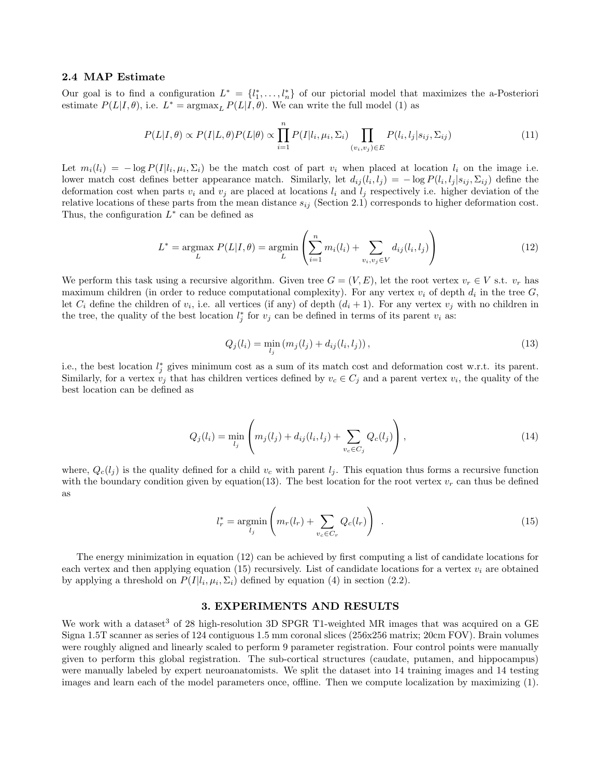## 2.4 MAP Estimate

Our goal is to find a configuration  $L^* = \{l_1^*, \ldots, l_n^*\}$  of our pictorial model that maximizes the a-Posteriori estimate  $P(L|I,\theta)$ , i.e.  $L^* = \operatorname{argmax}_{L} P(L|I,\theta)$ . We can write the full model (1) as

$$
P(L|I,\theta) \propto P(I|L,\theta)P(L|\theta) \propto \prod_{i=1}^{n} P(I|l_i,\mu_i,\Sigma_i) \prod_{(v_i,v_j)\in E} P(l_i,l_j|s_{ij},\Sigma_{ij})
$$
\n(11)

Let  $m_i(l_i) = -\log P(I|l_i, \mu_i, \Sigma_i)$  be the match cost of part  $v_i$  when placed at location  $l_i$  on the image i.e. lower match cost defines better appearance match. Similarly, let  $d_{ij}(l_i, l_j) = -\log P(l_i, l_j | s_{ij}, \Sigma_{ij})$  define the deformation cost when parts  $v_i$  and  $v_j$  are placed at locations  $l_i$  and  $l_j$  respectively i.e. higher deviation of the relative locations of these parts from the mean distance  $s_{ij}$  (Section 2.1) corresponds to higher deformation cost. Thus, the configuration  $L^*$  can be defined as

$$
L^* = \underset{L}{\text{argmax}} \ P(L|I,\theta) = \underset{L}{\text{argmin}} \left( \sum_{i=1}^n m_i(l_i) + \sum_{v_i, v_j \in V} d_{ij}(l_i, l_j) \right) \tag{12}
$$

We perform this task using a recursive algorithm. Given tree  $G = (V, E)$ , let the root vertex  $v_r \in V$  s.t.  $v_r$  has maximum children (in order to reduce computational complexity). For any vertex  $v_i$  of depth  $d_i$  in the tree  $G$ , let  $C_i$  define the children of  $v_i$ , i.e. all vertices (if any) of depth  $(d_i + 1)$ . For any vertex  $v_j$  with no children in the tree, the quality of the best location  $l_j^*$  for  $v_j$  can be defined in terms of its parent  $v_i$  as:

$$
Q_j(l_i) = \min_{l_j} (m_j(l_j) + d_{ij}(l_i, l_j)),
$$
\n(13)

i.e., the best location  $l_j^*$  gives minimum cost as a sum of its match cost and deformation cost w.r.t. its parent. Similarly, for a vertex  $v_j$  that has children vertices defined by  $v_c \in C_j$  and a parent vertex  $v_i$ , the quality of the best location can be defined as

$$
Q_j(l_i) = \min_{l_j} \left( m_j(l_j) + d_{ij}(l_i, l_j) + \sum_{v_c \in C_j} Q_c(l_j) \right),
$$
\n(14)

where,  $Q_c(l_i)$  is the quality defined for a child  $v_c$  with parent  $l_i$ . This equation thus forms a recursive function with the boundary condition given by equation(13). The best location for the root vertex  $v_r$  can thus be defined as

$$
l_r^* = \underset{l_j}{\text{argmin}} \left( m_r(l_r) + \sum_{v_c \in C_r} Q_c(l_r) \right) \tag{15}
$$

The energy minimization in equation (12) can be achieved by first computing a list of candidate locations for each vertex and then applying equation (15) recursively. List of candidate locations for a vertex  $v_i$  are obtained by applying a threshold on  $P(I|l_i, \mu_i, \Sigma_i)$  defined by equation (4) in section (2.2).

# 3. EXPERIMENTS AND RESULTS

We work with a dataset<sup>3</sup> of 28 high-resolution 3D SPGR T1-weighted MR images that was acquired on a GE Signa 1.5T scanner as series of 124 contiguous 1.5 mm coronal slices (256x256 matrix; 20cm FOV). Brain volumes were roughly aligned and linearly scaled to perform 9 parameter registration. Four control points were manually given to perform this global registration. The sub-cortical structures (caudate, putamen, and hippocampus) were manually labeled by expert neuroanatomists. We split the dataset into 14 training images and 14 testing images and learn each of the model parameters once, offline. Then we compute localization by maximizing (1).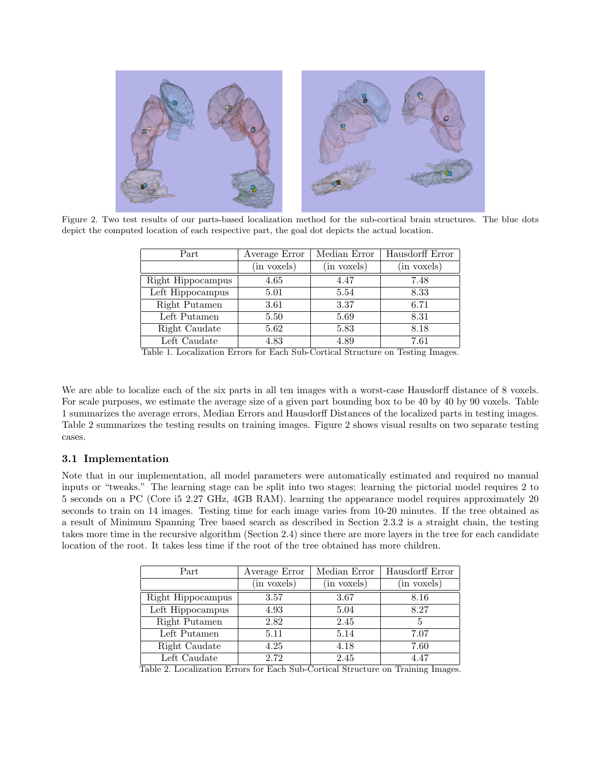

Figure 2. Two test results of our parts-based localization method for the sub-cortical brain structures. The blue dots depict the computed location of each respective part, the goal dot depicts the actual location.

| Part              | Average Error | Median Error | Hausdorff Error |
|-------------------|---------------|--------------|-----------------|
|                   | (in voxels)   | (in voxels)  | (in voxels)     |
| Right Hippocampus | 4.65          | 4.47         | 7.48            |
| Left Hippocampus  | 5.01          | 5.54         | 8.33            |
| Right Putamen     | 3.61          | 3.37         | 6.71            |
| Left Putamen      | 5.50          | 5.69         | 8.31            |
| Right Caudate     | 5.62          | 5.83         | 8.18            |
| Left Caudate      | 4.83          | 4.89         | 7.61            |

Table 1. Localization Errors for Each Sub-Cortical Structure on Testing Images.

We are able to localize each of the six parts in all ten images with a worst-case Hausdorff distance of 8 voxels. For scale purposes, we estimate the average size of a given part bounding box to be 40 by 40 by 90 voxels. Table 1 summarizes the average errors, Median Errors and Hausdorff Distances of the localized parts in testing images. Table 2 summarizes the testing results on training images. Figure 2 shows visual results on two separate testing cases.

# 3.1 Implementation

Note that in our implementation, all model parameters were automatically estimated and required no manual inputs or "tweaks." The learning stage can be split into two stages: learning the pictorial model requires 2 to 5 seconds on a PC (Core i5 2.27 GHz, 4GB RAM). learning the appearance model requires approximately 20 seconds to train on 14 images. Testing time for each image varies from 10-20 minutes. If the tree obtained as a result of Minimum Spanning Tree based search as described in Section 2.3.2 is a straight chain, the testing takes more time in the recursive algorithm (Section 2.4) since there are more layers in the tree for each candidate location of the root. It takes less time if the root of the tree obtained has more children.

| Part              | Average Error | Median Error | Hausdorff Error |
|-------------------|---------------|--------------|-----------------|
|                   | (in voxels)   | (in voxels)  | (in voxels)     |
| Right Hippocampus | 3.57          | 3.67         | 8.16            |
| Left Hippocampus  | 4.93          | 5.04         | 8.27            |
| Right Putamen     | 2.82          | 2.45         | 5               |
| Left Putamen      | 5.11          | 5.14         | 7.07            |
| Right Caudate     | 4.25          | 4.18         | 7.60            |
| Left Caudate      | 2.72          | 2.45         | 4.47            |

Table 2. Localization Errors for Each Sub-Cortical Structure on Training Images.